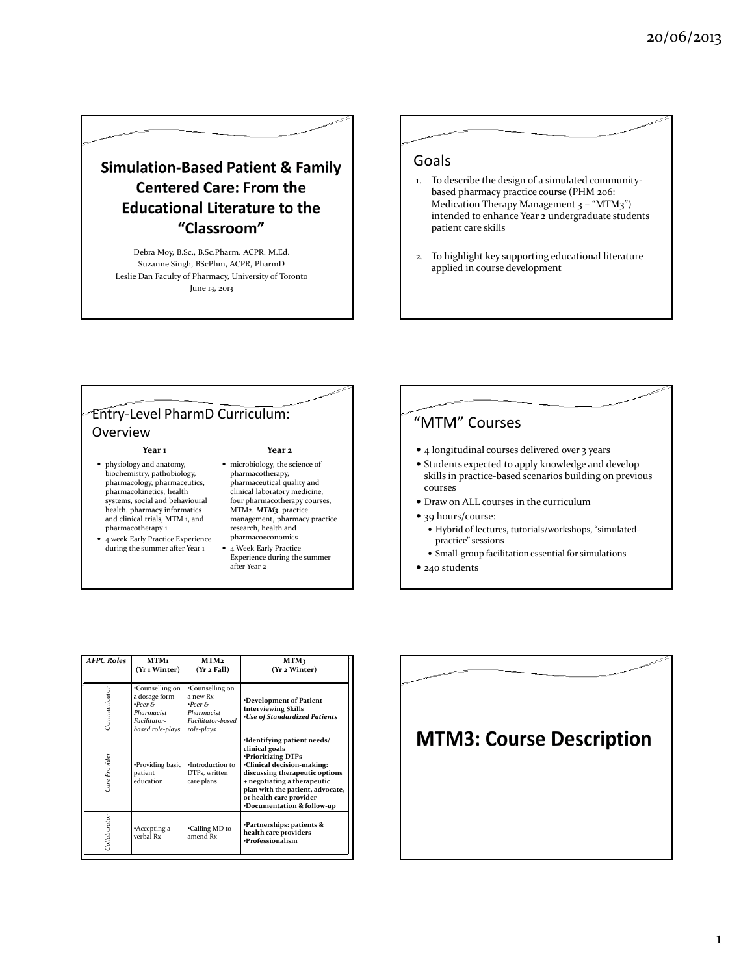# **Simulation-Based Patient & Family Centered Care: From the Educational Literature to the** "Classroom"

Debra Moy, B.Sc., B.Sc.Pharm. ACPR. M.Ed. Suzanne Singh, BScPhm, ACPR, PharmD Leslie Dan Faculty of Pharmacy, University of Toronto June 13, 2013

#### Goals

- 1. To describe the design of a simulated communitybased pharmacy practice course (PHM 206: Medication Therapy Management 3 - "MTM3") intended to enhance Year 2 undergraduate students patient care skills
- 2. To highlight key supporting educational literature applied in course development

#### Entry-Level PharmD Curriculum: Overview

- physiology and anatomy, biochemistry, pathobiology, pharmacology, pharmaceutics, pharmacokinetics, health systems, social and behavioural health, pharmacy informatics and clinical trials, MTM 1, and pharmacotherapy 1
- 4 week Early Practice Experience during the summer after Year 1

#### Year 1 Year 2

- microbiology, the science of pharmacotherapy, pharmaceutical quality and clinical laboratory medicine, four pharmacotherapy courses, MTM<sub>2</sub>, MTM<sub>3</sub>, practice management, pharmacy practice research, health and pharmacoeconomics
- 4 Week Early Practice Experience during the summer



### "MTM" Courses

- 4 longitudinal courses delivered over 3 years
- Students expected to apply knowledge and develop skills in practice-based scenarios building on previous courses
- Draw on ALL courses in the curriculum
- 39 hours/course:
	- Hybrid of lectures, tutorials/workshops, "simulatedpractice" sessions
	- Small-group facilitation essential for simulations
- 240 students

| <b>AFPC Roles</b> | MTM1<br>(Yr 1 Winter)                                                                                | MTM <sub>2</sub><br>(Yr 2 Fall)                                                                     | MTM3<br>(Yr 2 Winter)                                                                                                                                                                                                                                           |
|-------------------|------------------------------------------------------------------------------------------------------|-----------------------------------------------------------------------------------------------------|-----------------------------------------------------------------------------------------------------------------------------------------------------------------------------------------------------------------------------------------------------------------|
| Communicator      | •Counselling on<br>a dosage form<br>$\cdot$ Peer &<br>Pharmacist<br>Facilitator-<br>based role-plays | •Counselling on<br>a new Rx<br>$\bullet$ Peer $\&$<br>Pharmacist<br>Facilitator-based<br>role-plays | •Development of Patient<br><b>Interviewing Skills</b><br><b>.Use of Standardized Patients</b>                                                                                                                                                                   |
| Care Provider     | •Providing basic<br>patient<br>education                                                             | ·Introduction to<br>DTPs, written<br>care plans                                                     | ·Identifying patient needs/<br>clinical goals<br>•Prioritizing DTPs<br>•Clinical decision-making:<br>discussing therapeutic options<br>+ negotiating a therapeutic<br>plan with the patient, advocate,<br>or health care provider<br>*Documentation & follow-up |
| Collaborator      | *Accepting a<br>verbal Rx                                                                            | •Calling MD to<br>amend Rx                                                                          | <b>Partnerships: patients &amp;</b><br>health care providers<br>·Professionalism                                                                                                                                                                                |

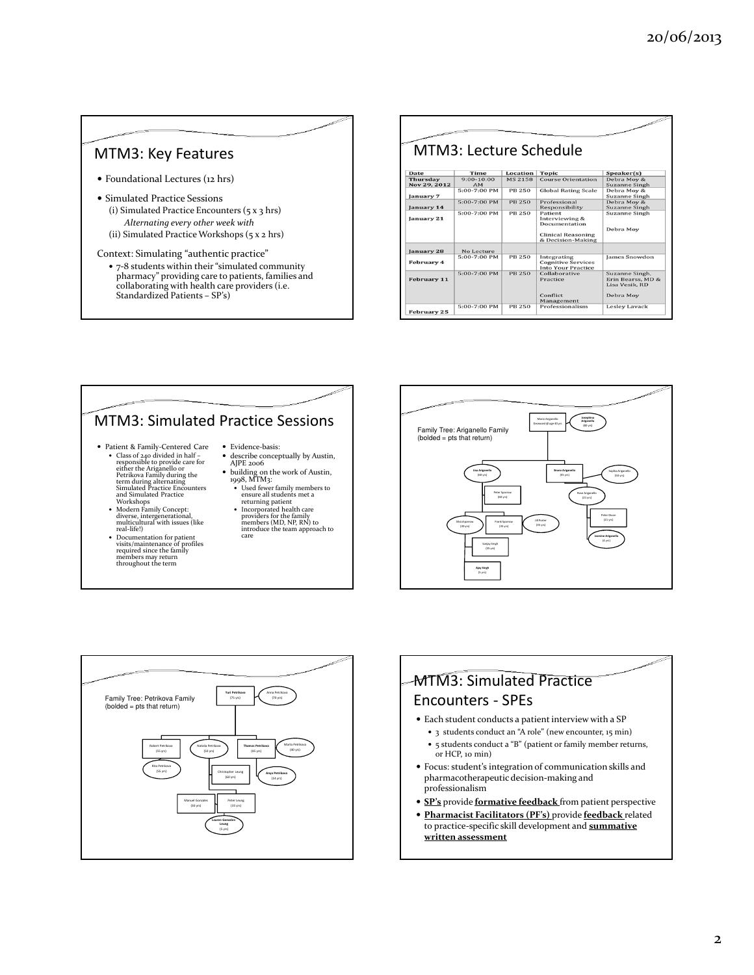

# MTM3: Simulated Practice Sessions

- Patient & Family-Centered Care<br>
 Class of 240 divided in half –<br>
responsible to provide care for<br>
either the Ariganello or<br>
Petrikova Family during the<br>
term during alternating<br>
simulated Practice<br>
and Simulated Practic
	- Workshops Modern Family Concept: diverse, intergenerational, multicultural with issues (like real-life!)
	- Documentation for patient visits/maintenance of profiles required since the family members may return throughout the term
- Evidence-basis: describe conceptually by Austin, AJPE 2006
- building on the work of Austin, 1998, MTM3: Used fewer family members to ensure all students met a
	-
	- returning patient Incorporated health care providers for the family members (MD, NP, RN) to introduce the team approach to care





### MTM3: Simulated Practice Encounters - SPEs

- Each student conducts a patient interview with a SP
	- 3 students conduct an "A role" (new encounter, 15 min)
	- 5 students conduct a "B" (patient or family member returns, or HCP, 10 min)
- Focus: student's integration of communication skills and pharmacotherapeutic decision-making and professionalism
- **SP's** provide **formative feedback** from patient perspective
- Pharmacist Facilitators (PF's) provide feedback related to practice-specific skill development and **summative** written assessment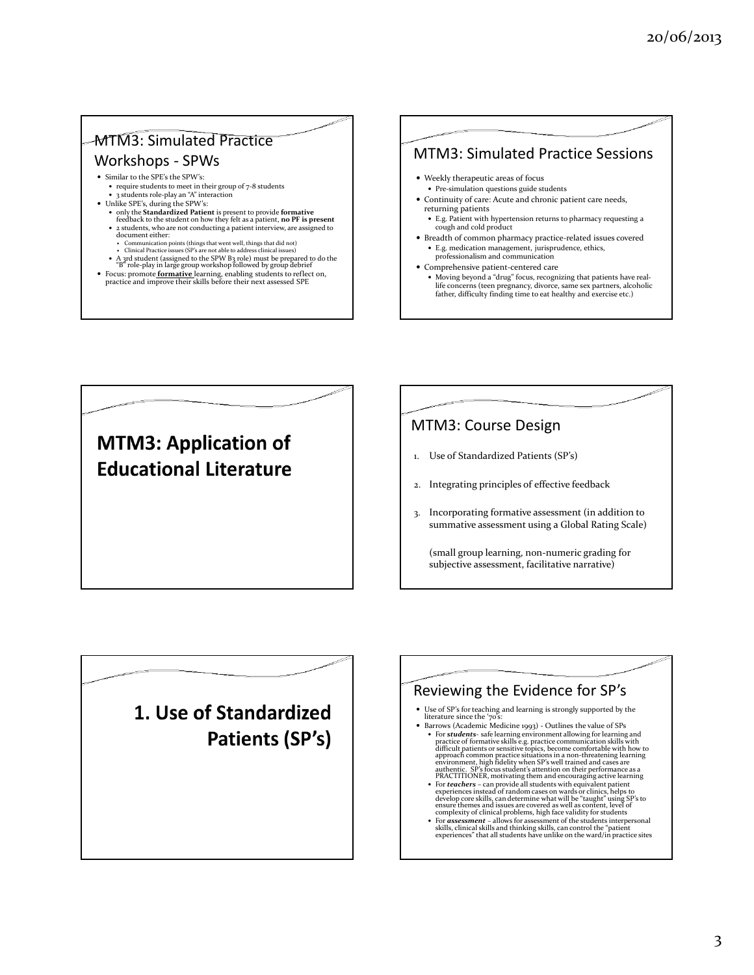# MTM3: Simulated Practice

# Workshops - SPWs

- Similar to the SPE's the SPW's: require students to meet in their group of 7-8 students
	- 3 students role-play an "A" interaction
- Unlike SPE's, during the SPW's:
	- only the Standardized Patient is present to provide formative feedback to the student on how they felt as a patient, no PF is present 2 students, who are not conducting a patient interview, are assigned to document either:
	-
	- Communication points (things that went well, things that did not) Clinical Practice issues (SP's are not able to address clinical issues)
	- A 3rd student (assigned to the SPW B3 role) must be prepared to do the "B" role-play in large group workshop followed by group debrief
- Focus: promote **formative** learning, enabling students to reflect on, practice and improve their skills before their next assessed SPE
- 





# MTM3: Course Design

- 1. Use of Standardized Patients (SP's)
- 2. Integrating principles of effective feedback
- 3. Incorporating formative assessment (in addition to summative assessment using a Global Rating Scale)

(small group learning, non-numeric grading for subjective assessment, facilitative narrative)

# 1. Use of Standardized Patients (SP's)



• For **assessment** – allows for assessment of the students interpersonal skills, clinical skills and thinking skills, can control the "patient experiences" that all students have unlike on the ward/in practice sites in the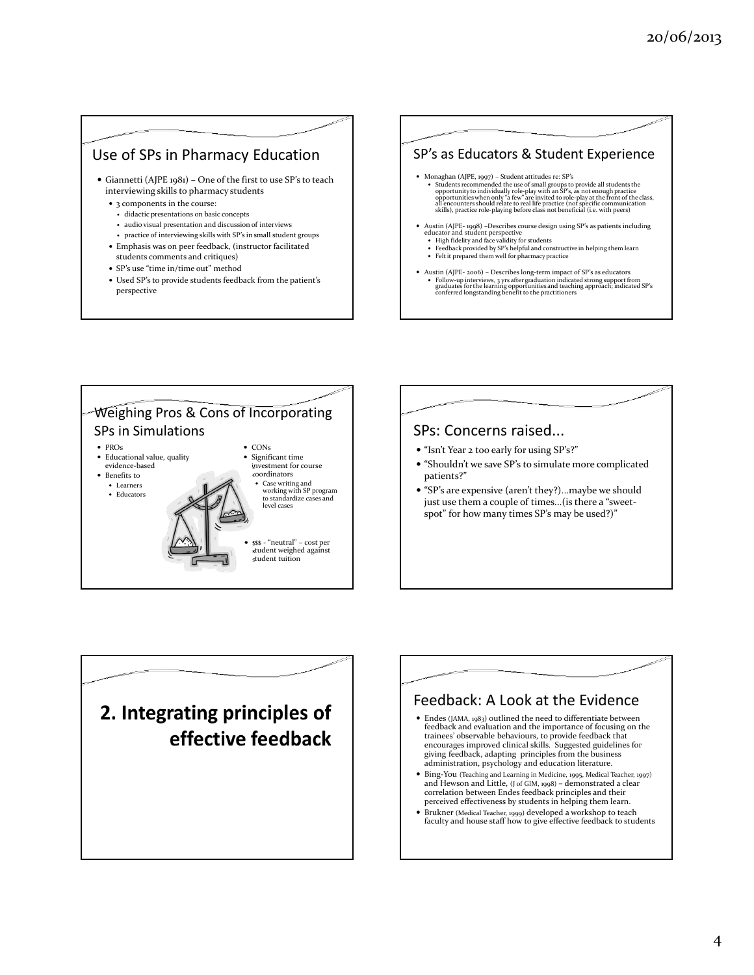### Use of SPs in Pharmacy Education

- Giannetti (AJPE 1981) One of the first to use SP's to teach interviewing skills to pharmacy students
	- 3 components in the course:
	- didactic presentations on basic concepts
	- audio visual presentation and discussion of interviews
	- practice of interviewing skills with SP's in small student groups
	- Emphasis was on peer feedback, (instructor facilitated students comments and critiques)
	- SP's use "time in/time out" method
	- Used SP's to provide students feedback from the patient's perspective

### SP's as Educators & Student Experience

- Monaghan (AJPE, 1997) Student attitudes re: SP's
	- Students recommended the use of small groups to provide all students the opportunity to individually role-play with an SP's, as not enough practice opportunities when only "a few" are invited to role-play at the front o
- Austin (AJPE-1998) –Describes course design using SP's as patients including<br>educator and student perspective<br>• High fidelity and face validity for students<br>• Feedback provided by SP's helpful and constructive in helping
	-
	- Felt it prepared them well for pharmacy practice
- Austin (AJPE- 2006) Describes long-term impact of SP's as educators Follow-up interviews, 3 yrs after graduation indicated strong support from graduates for the learning opportunities and teaching approach; indicated SP's conferred longstanding benefit to the practitioners



# SPs: Concerns raised... "Isn't Year 2 too early for using SP's?" "Shouldn't we save SP's to simulate more complicated patients?"

 "SP's are expensive (aren't they?)...maybe we should just use them a couple of times...(is there a "sweetspot" for how many times SP's may be used?)"

# 2. Integrating principles of effective feedback

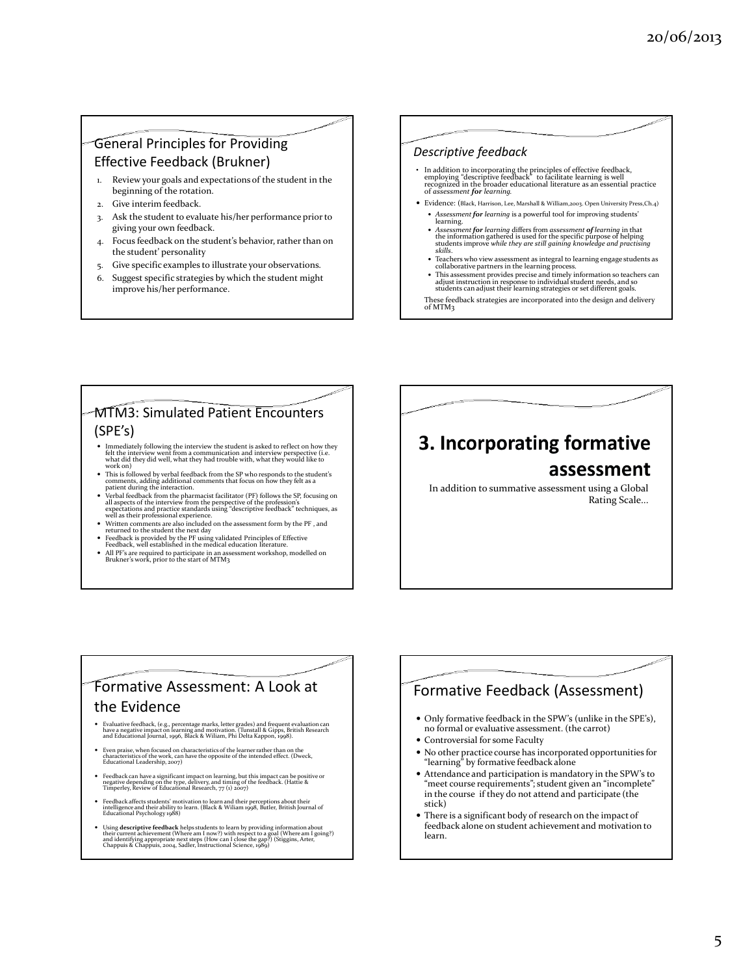#### General Principles for Providing Effective Feedback (Brukner)

- 1. Review your goals and expectations of the student in the beginning of the rotation.
- 2. Give interim feedback.
- 3. Ask the student to evaluate his/her performance prior to giving your own feedback.
- 4. Focus feedback on the student's behavior, rather than on the student' personality
- 5. Give specific examples to illustrate your observations.
- 6. Suggest specific strategies by which the student might improve his/her performance.

#### Descriptive feedback

- In addition to incorporating the principles of effective feedback,<br>employing "descriptive feedback" to facilitate learning is well<br>recognized in the broader educational literature as an essential practice<br>of *assessment f*
- Evidence: (Black, Harrison, Lee, Marshall & William,2003. Open University Press,Ch.4) • Assessment for learning is a powerful tool for improving students' learning.
	- Assessment for learning differs from assessment of learning in that the information gathered is used for the specific purpose of helping skills.<br>students improve while they are still gaining knowledge and practising<br>skil
- Teachers who view assessment as integral to learning engage students as collaborative partners in the learning process.
- This assessment provides precise and timely information so teachers can adjust instruction in response to individual student needs, and so students can adjust their learning strategies or set different goals.
- These feedback strategies are incorporated into the design and delivery of MTM3

#### MTM3: Simulated Patient Encounters (SPE's)

- Immediately following the interview the student is asked to reflect on how they felt the interview went from a communication and interview perspective (i.e.<br>what did they did well, what they had trouble with, what they w
- 
- work on)<br>
 This is followed by verbal feedback from the SP who responds to the student's<br>
comments, adding additional comments that focus on how they felt as a<br>
patient during the interaction.<br>
 Verbal feedback from the
- Written comments are also included on the assessment form by the PF , and returned to the student the next day
- 
- Feedback is provided by the PF using validated Principles of Effective<br>Feedback, well established in the medical education literature.<br>• All PF's are required to participate in an assessment workshop, modelled on<br>Brukner

# 3. Incorporating formative assessment

In addition to summative assessment using a Global Rating Scale...

### Formative Assessment: A Look at the Evidence

- Evaluative feedback, (e.g., percentage marks, letter grades) and frequent evaluation can<br>have a negative impact on learning and motivation. (Tunstall & Gipps, British Research<br>and Educational Journal, 1996, Black & Wilia
- Even praise, when focused on characteristics of the learner rather than on the characteristics of the work, can have the opposite of the intended effect. (Dweck, Educational Leadership, 2007)
- Feedback can have a significant impact on learning, but this impact can be positive or negative depending on the type, delivery, and timing of the feedback. (Hattie & Timperley, Review of Educational Research, 77 (1) 2007)
- Feedback affects students' motivation to learn and their perceptions about their intelligence and their ability to learn. (Black & Wiliam 1998, Butler, British Journal of Educational Psychology 1988)
- Using descriptive feedback helps students to learn by providing information about<br>their current achievement (Where am I now?) with respect to a goal (Where am I going?)<br>and identifying appropriate next steps (How can I c

### Formative Feedback (Assessment)

- Only formative feedback in the SPW's (unlike in the SPE's), no formal or evaluative assessment. (the carrot)
- Controversial for some Faculty
- No other practice course has incorporated opportunities for "learning" by formative feedback alone
- Attendance and participation is mandatory in the SPW's to "meet course requirements"; student given an "incomplete" in the course if they do not attend and participate (the stick)
- There is a significant body of research on the impact of feedback alone on student achievement and motivation to learn.